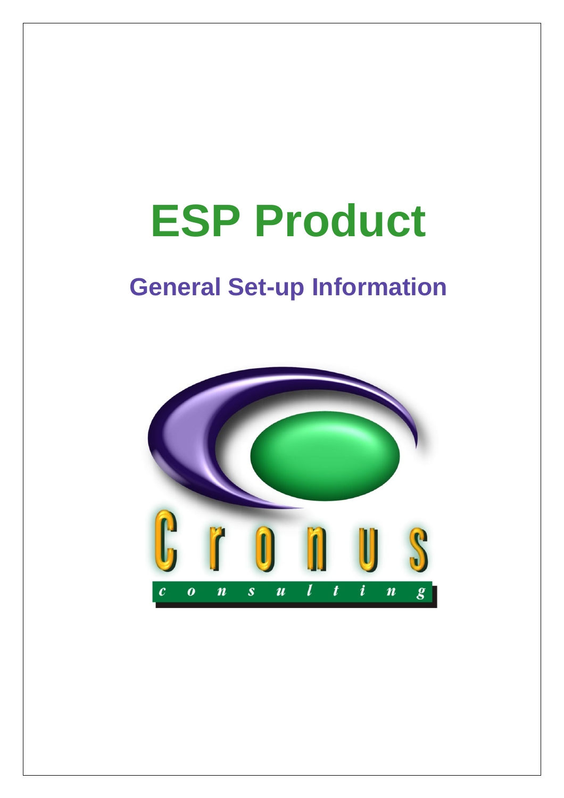# **ESP Product**

# **General Set-up Information**

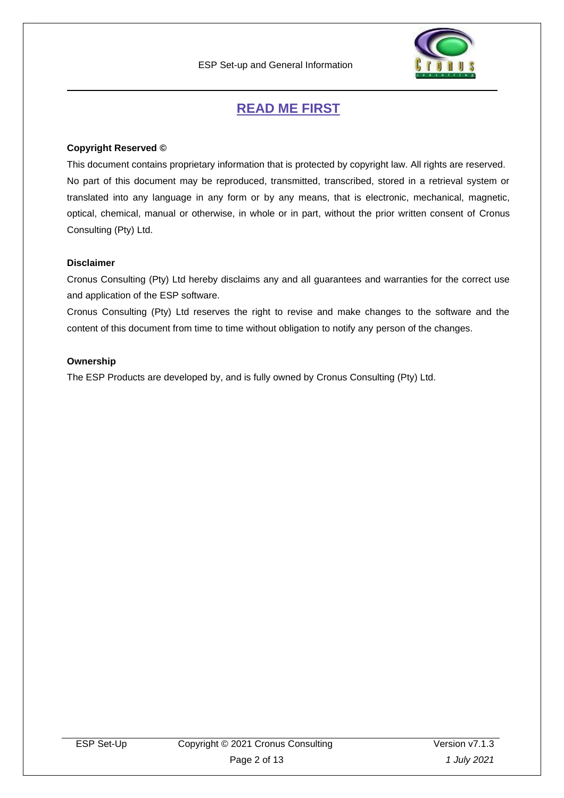

## **READ ME FIRST**

#### <span id="page-1-0"></span>**Copyright Reserved ©**

This document contains proprietary information that is protected by copyright law. All rights are reserved. No part of this document may be reproduced, transmitted, transcribed, stored in a retrieval system or translated into any language in any form or by any means, that is electronic, mechanical, magnetic, optical, chemical, manual or otherwise, in whole or in part, without the prior written consent of Cronus Consulting (Pty) Ltd.

#### **Disclaimer**

Cronus Consulting (Pty) Ltd hereby disclaims any and all guarantees and warranties for the correct use and application of the ESP software.

Cronus Consulting (Pty) Ltd reserves the right to revise and make changes to the software and the content of this document from time to time without obligation to notify any person of the changes.

#### **Ownership**

The ESP Products are developed by, and is fully owned by Cronus Consulting (Pty) Ltd.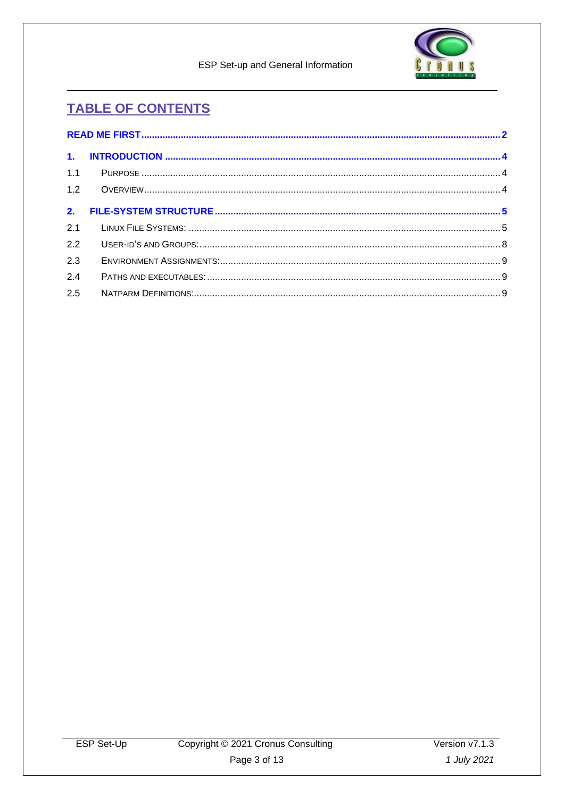

ESP Set-up and General Information

# **TABLE OF CONTENTS**

| 1.1 |  |
|-----|--|
|     |  |
|     |  |
|     |  |
| 2.2 |  |
| 2.3 |  |
| 2.4 |  |
| 2.5 |  |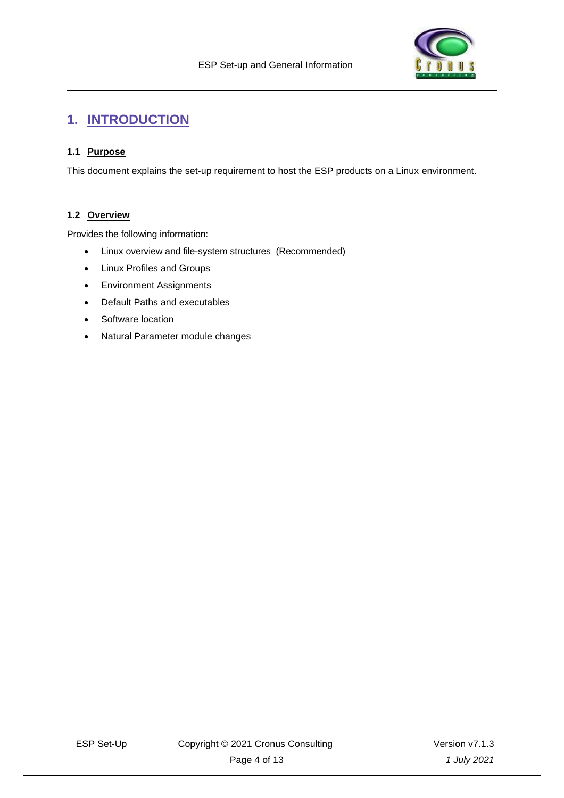

# <span id="page-3-0"></span>**1. INTRODUCTION**

#### <span id="page-3-1"></span>**1.1 Purpose**

This document explains the set-up requirement to host the ESP products on a Linux environment.

#### <span id="page-3-2"></span>**1.2 Overview**

Provides the following information:

- Linux overview and file-system structures (Recommended)
- Linux Profiles and Groups
- Environment Assignments
- Default Paths and executables
- Software location
- Natural Parameter module changes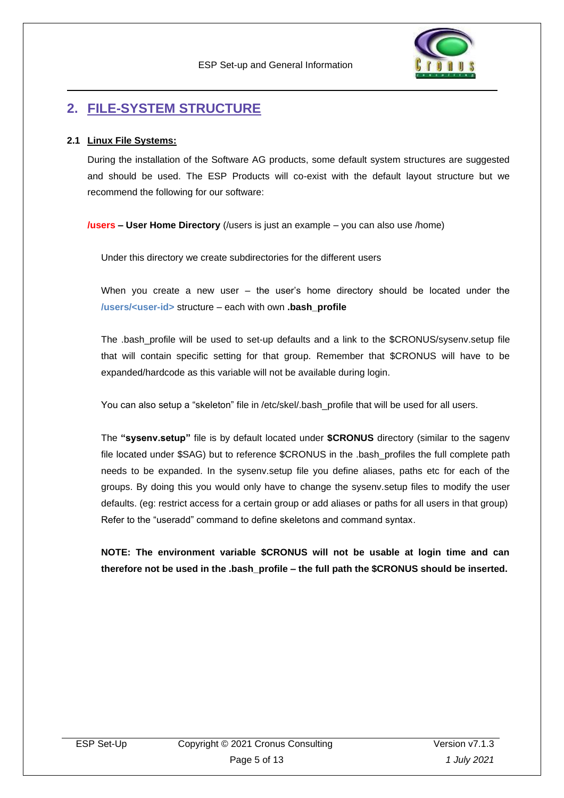

## <span id="page-4-0"></span>**2. FILE-SYSTEM STRUCTURE**

#### <span id="page-4-1"></span>**2.1 Linux File Systems:**

During the installation of the Software AG products, some default system structures are suggested and should be used. The ESP Products will co-exist with the default layout structure but we recommend the following for our software:

**/users – User Home Directory** (/users is just an example – you can also use /home)

Under this directory we create subdirectories for the different users

When you create a new user – the user's home directory should be located under the **/users/<user-id>** structure – each with own **.bash\_profile**

The .bash profile will be used to set-up defaults and a link to the \$CRONUS/sysenv.setup file that will contain specific setting for that group. Remember that \$CRONUS will have to be expanded/hardcode as this variable will not be available during login.

You can also setup a "skeleton" file in /etc/skel/.bash\_profile that will be used for all users.

The **"sysenv.setup"** file is by default located under **\$CRONUS** directory (similar to the sagenv file located under \$SAG) but to reference \$CRONUS in the .bash\_profiles the full complete path needs to be expanded. In the sysenv.setup file you define aliases, paths etc for each of the groups. By doing this you would only have to change the sysenv.setup files to modify the user defaults. (eg: restrict access for a certain group or add aliases or paths for all users in that group) Refer to the "useradd" command to define skeletons and command syntax.

**NOTE: The environment variable \$CRONUS will not be usable at login time and can therefore not be used in the .bash\_profile – the full path the \$CRONUS should be inserted.**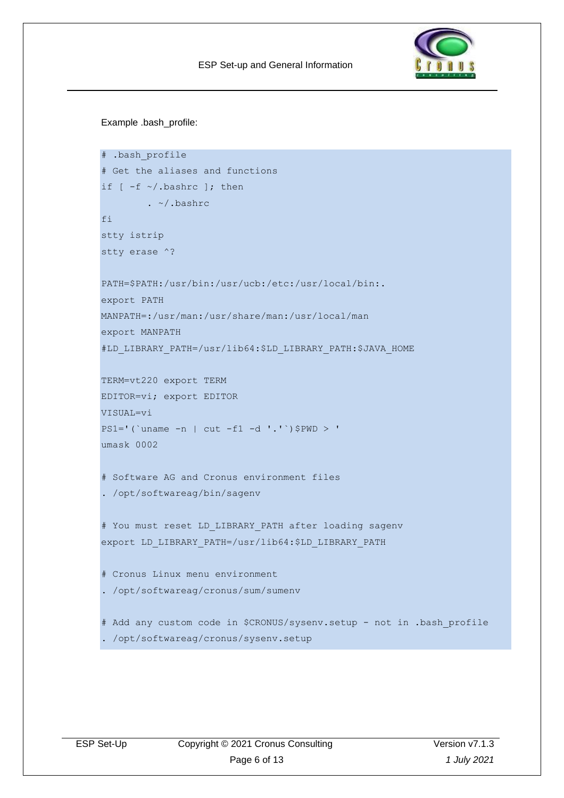

Example .bash\_profile:

```
# .bash profile
# Get the aliases and functions
if [-f \sim / .bashrc]; then
        . ~/.bashrc
fi
stty istrip
stty erase ^?
PATH=$PATH:/usr/bin:/usr/ucb:/etc:/usr/local/bin:.
export PATH
MANPATH=:/usr/man:/usr/share/man:/usr/local/man
export MANPATH
#LD LIBRARY PATH=/usr/lib64:$LD LIBRARY PATH:$JAVA HOME
TERM=vt220 export TERM
EDITOR=vi; export EDITOR
VISUAL=vi
PS1='('uname -n | cut -f1 -d '.'') $PWD > '
umask 0002
# Software AG and Cronus environment files
. /opt/softwareag/bin/sagenv
# You must reset LD_LIBRARY_PATH after loading sagenv
export LD LIBRARY PATH=/usr/lib64:$LD LIBRARY PATH
# Cronus Linux menu environment
. /opt/softwareag/cronus/sum/sumenv
# Add any custom code in $CRONUS/sysenv.setup - not in .bash_profile
. /opt/softwareag/cronus/sysenv.setup
```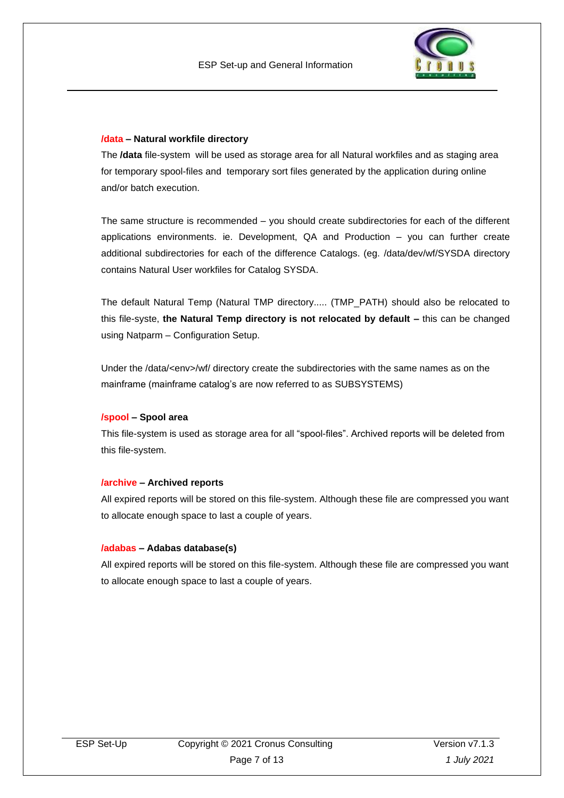

#### **/data – Natural workfile directory**

The **/data** file-system will be used as storage area for all Natural workfiles and as staging area for temporary spool-files and temporary sort files generated by the application during online and/or batch execution.

The same structure is recommended – you should create subdirectories for each of the different applications environments. ie. Development, QA and Production – you can further create additional subdirectories for each of the difference Catalogs. (eg. /data/dev/wf/SYSDA directory contains Natural User workfiles for Catalog SYSDA.

The default Natural Temp (Natural TMP directory..... (TMP\_PATH) should also be relocated to this file-syste, **the Natural Temp directory is not relocated by default –** this can be changed using Natparm – Configuration Setup.

Under the /data/<env>/wf/ directory create the subdirectories with the same names as on the mainframe (mainframe catalog's are now referred to as SUBSYSTEMS)

#### **/spool – Spool area**

This file-system is used as storage area for all "spool-files". Archived reports will be deleted from this file-system.

#### **/archive – Archived reports**

All expired reports will be stored on this file-system. Although these file are compressed you want to allocate enough space to last a couple of years.

#### **/adabas – Adabas database(s)**

All expired reports will be stored on this file-system. Although these file are compressed you want to allocate enough space to last a couple of years.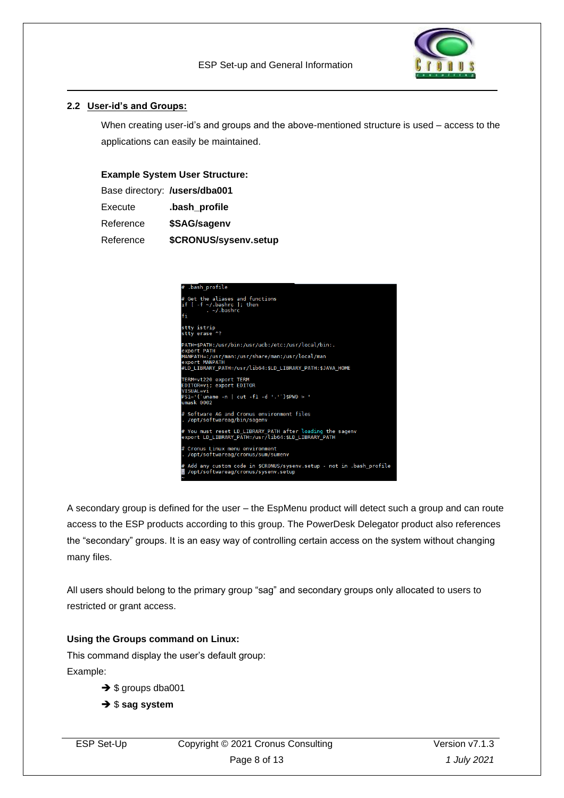

#### <span id="page-7-0"></span>**2.2 User-id's and Groups:**

When creating user-id's and groups and the above-mentioned structure is used – access to the applications can easily be maintained.

#### **Example System User Structure:**

| Base directory: /users/dba001 |                       |
|-------------------------------|-----------------------|
| Execute                       | .bash_profile         |
| Reference                     | \$SAG/sagenv          |
| Reference                     | \$CRONUS/sysenv.setup |

| bash profile.                                                                                                    |
|------------------------------------------------------------------------------------------------------------------|
| # Get the aliases and functions<br>if $[ -f \sim /$ .bashrc ]; then<br>$\sim$ /.bashrc<br>fi                     |
| stty istrip<br>stty erase ^?                                                                                     |
| PATH=\$PATH:/usr/bin:/usr/ucb:/etc:/usr/local/bin:.<br>export PATH                                               |
| MANPATH=:/usr/man:/usr/share/man:/usr/local/man                                                                  |
| export MANPATH<br>#LD LIBRARY PATH=/usr/lib64:\$LD LIBRARY PATH:\$JAVA HOME                                      |
| TERM=vt220 export TERM<br>EDITOR=vi; export EDITOR                                                               |
| VISUAL=vi<br>$PS1 = '('uname -n   cut -f1 -d ', '')$ \$PWD > '                                                   |
| umask 0002                                                                                                       |
| # Software AG and Cronus environment files<br>. /opt/softwareag/bin/sagenv                                       |
| # You must reset LD LIBRARY PATH after loading the sagenv<br>export LD LIBRARY PATH=/usr/lib64:\$LD LIBRARY PATH |
| # Cronus Linux menu environment<br>. /opt/softwareag/cronus/sum/sumenv                                           |
| # Add any custom code in \$CRONUS/sysenv.setup - not in .bash profile<br>/opt/softwareag/cronus/sysenv.setup     |

A secondary group is defined for the user – the EspMenu product will detect such a group and can route access to the ESP products according to this group. The PowerDesk Delegator product also references the "secondary" groups. It is an easy way of controlling certain access on the system without changing many files.

All users should belong to the primary group "sag" and secondary groups only allocated to users to restricted or grant access.

#### **Using the Groups command on Linux:**

This command display the user's default group: Example:

- → \$ groups dba001
- ➔ \$ **sag system**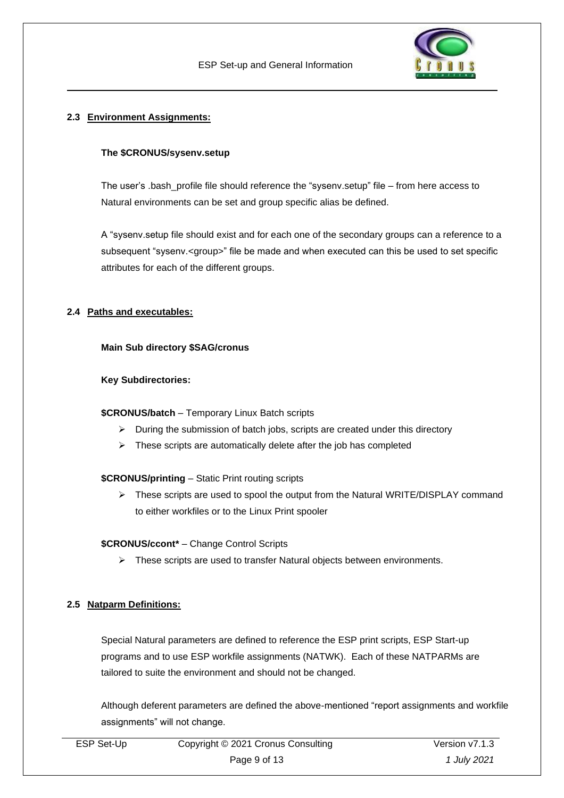

#### <span id="page-8-0"></span>**2.3 Environment Assignments:**

#### **The \$CRONUS/sysenv.setup**

The user's .bash\_profile file should reference the "sysenv.setup" file – from here access to Natural environments can be set and group specific alias be defined.

A "sysenv.setup file should exist and for each one of the secondary groups can a reference to a subsequent "sysenv.<group>" file be made and when executed can this be used to set specific attributes for each of the different groups.

#### <span id="page-8-1"></span>**2.4 Paths and executables:**

#### **Main Sub directory \$SAG/cronus**

#### **Key Subdirectories:**

#### **\$CRONUS/batch** – Temporary Linux Batch scripts

- ➢ During the submission of batch jobs, scripts are created under this directory
- $\triangleright$  These scripts are automatically delete after the job has completed

#### **\$CRONUS/printing** – Static Print routing scripts

➢ These scripts are used to spool the output from the Natural WRITE/DISPLAY command to either workfiles or to the Linux Print spooler

#### **\$CRONUS/ccont\*** – Change Control Scripts

➢ These scripts are used to transfer Natural objects between environments.

#### <span id="page-8-2"></span>**2.5 Natparm Definitions:**

Special Natural parameters are defined to reference the ESP print scripts, ESP Start-up programs and to use ESP workfile assignments (NATWK). Each of these NATPARMs are tailored to suite the environment and should not be changed.

Although deferent parameters are defined the above-mentioned "report assignments and workfile assignments" will not change.

| ESP Set-Up | Copyright © 2021 Cronus Consulting | Version v7.1.3 |
|------------|------------------------------------|----------------|
|            | Page 9 of 13                       | 1 July 2021    |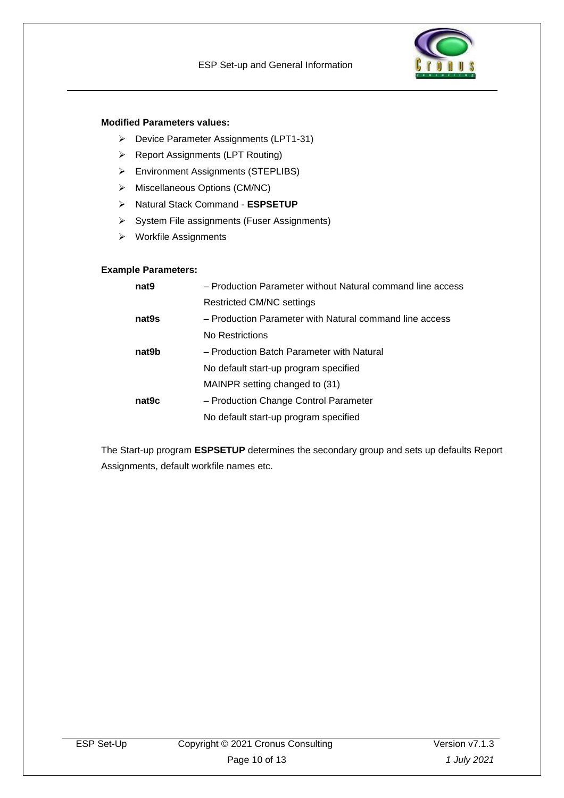

#### **Modified Parameters values:**

- ➢ Device Parameter Assignments (LPT1-31)
- ➢ Report Assignments (LPT Routing)
- ➢ Environment Assignments (STEPLIBS)
- ➢ Miscellaneous Options (CM/NC)
- ➢ Natural Stack Command **ESPSETUP**
- ➢ System File assignments (Fuser Assignments)
- ➢ Workfile Assignments

#### **Example Parameters:**

| nat <sub>9</sub>  | - Production Parameter without Natural command line access |
|-------------------|------------------------------------------------------------|
|                   | Restricted CM/NC settings                                  |
| nat <sub>9s</sub> | - Production Parameter with Natural command line access    |
|                   | No Restrictions                                            |
| nat9b             | - Production Batch Parameter with Natural                  |
|                   | No default start-up program specified                      |
|                   | MAINPR setting changed to (31)                             |
| nat <sub>9c</sub> | - Production Change Control Parameter                      |
|                   | No default start-up program specified                      |

The Start-up program **ESPSETUP** determines the secondary group and sets up defaults Report Assignments, default workfile names etc.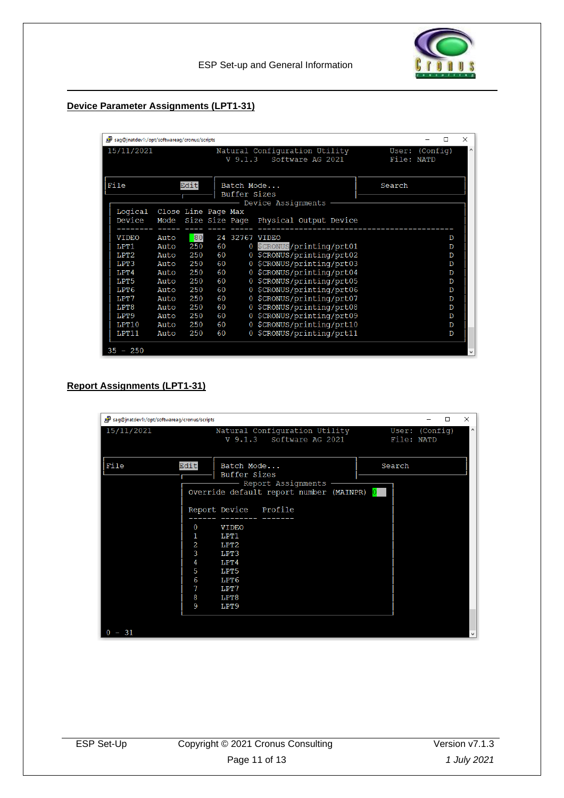

#### **Device Parameter Assignments (LPT1-31)**

|              | sag@inatdev1:/opt/softwareag/cronus/scripts<br>$\times$<br>п |                             |                            |                    |                |                                                   |                              |  |   |    |
|--------------|--------------------------------------------------------------|-----------------------------|----------------------------|--------------------|----------------|---------------------------------------------------|------------------------------|--|---|----|
|              | 15/11/2021                                                   |                             |                            |                    | $V_9.1.3$      | Natural Configuration Utility<br>Software AG 2021 | User: (Config)<br>File: NATD |  |   | ×. |
| File<br>Edit |                                                              |                             | Batch Mode<br>Buffer Sizes | Device Assignments | Search         |                                                   |                              |  |   |    |
|              | Logical<br>Device                                            | Close Line Page Max<br>Mode |                            |                    |                | Size Size Page Physical Output Device             |                              |  |   |    |
|              | <b>VIDEO</b>                                                 | Auto                        | 80                         |                    | 24 32767 VIDEO |                                                   |                              |  | D |    |
|              | LPT <sub>1</sub>                                             | Auto                        | 250                        | 60                 |                | 0 SCRONUS/printing/prt01                          |                              |  | D |    |
|              | T.PT2                                                        | Auto                        | 250                        | 60                 |                | 0 \$CRONUS/printing/prt02                         |                              |  | D |    |
|              | LPT3                                                         | Auto                        | 250                        | 60                 |                | 0 \$CRONUS/printing/prt03                         |                              |  | D |    |
|              | T.PT4                                                        | Auto                        | 250                        | 60                 |                | 0 \$CRONUS/printing/prt04                         |                              |  | D |    |
|              | LPT5                                                         | Auto                        | 250                        | 60                 |                | 0 \$CRONUS/printing/prt05                         |                              |  | D |    |
|              | LPT6                                                         | Auto                        | 250                        | 60                 |                | 0 \$CRONUS/printing/prt06                         |                              |  | D |    |
|              | T.PT7                                                        | Auto                        | 250                        | 60                 |                | 0 \$CRONUS/printing/prt07                         |                              |  | D |    |
|              | LPT8                                                         | Auto                        | 250                        | 60                 |                | 0 \$CRONUS/printing/prt08                         |                              |  | D |    |
|              | LPT <sub>9</sub>                                             | Auto                        | 250                        | 60                 |                | 0 \$CRONUS/printing/prt09                         |                              |  | D |    |
|              | LPT10                                                        | Auto                        | 250                        | 60                 |                | 0 \$CRONUS/printing/prt10                         |                              |  | D |    |
|              | LPT11                                                        | Auto                        | 250                        | 60                 |                | 0 \$CRONUS/printing/prt11                         |                              |  | D |    |
|              | $35 - 250$                                                   |                             |                            |                    |                |                                                   |                              |  |   |    |

#### **Report Assignments (LPT1-31)**

| sag@jnatdev1:/opt/softwareag/cronus/scripts               |                                                                                                   | $\times$<br>п                                         |
|-----------------------------------------------------------|---------------------------------------------------------------------------------------------------|-------------------------------------------------------|
| 15/11/2021                                                | Natural Configuration Utility<br>V 9.1.3 Software AG 2021                                         | $\boldsymbol{\wedge}$<br>User: (Config)<br>File: NATD |
| File<br>Edit                                              | Batch Mode<br>Buffer Sizes<br>- Report Assignments<br>Override default report number (MAINPR) 0   | Search                                                |
| $\overline{0}$<br>1<br>$\overline{a}$<br>3<br>4<br>5<br>6 | Report Device Profile<br><b>VIDEO</b><br>LPT1<br>LPT <sub>2</sub><br>LPT3<br>LPT4<br>LPT5<br>LPT6 |                                                       |
| 7<br>8<br>9<br>$-31$                                      | LPT7<br>LPT8<br>LPT <sub>9</sub>                                                                  | $\checkmark$                                          |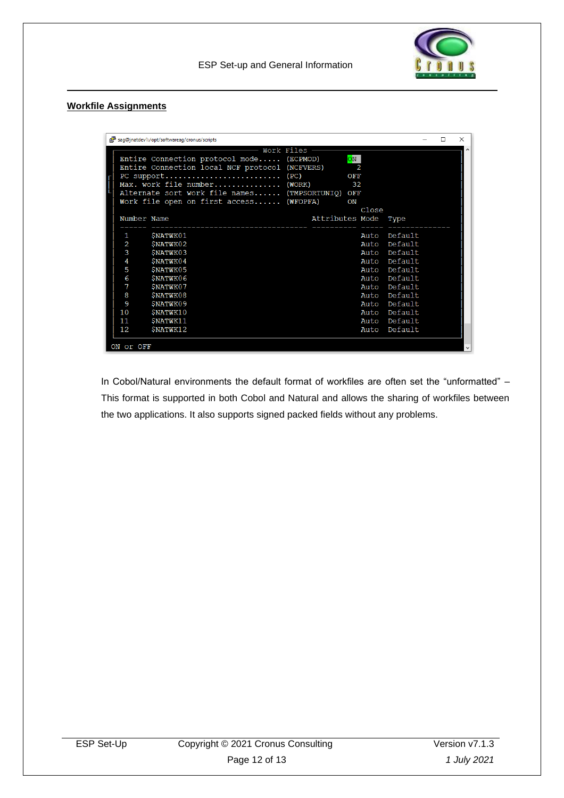

ESP Set-up and General Information

#### **Workfile Assignments**

|   | saq@inatdev1:/opt/softwareaq/cronus/scripts<br>× |                                                  |                      |                        |              |  |  |  |
|---|--------------------------------------------------|--------------------------------------------------|----------------------|------------------------|--------------|--|--|--|
|   |                                                  |                                                  | Work Files $-$       |                        |              |  |  |  |
|   |                                                  | Entire Connection protocol mode (ECPMOD)         |                      | $\overline{\text{ON}}$ |              |  |  |  |
|   |                                                  | Entire Connection local NCF protocol (NCFVERS)   |                      | 2                      |              |  |  |  |
|   |                                                  |                                                  |                      | OFF                    |              |  |  |  |
| I |                                                  | Max. work file number (WORK) 32                  |                      |                        |              |  |  |  |
|   |                                                  | Alternate sort work file names (TMPSORTUNIQ) OFF |                      |                        |              |  |  |  |
|   |                                                  | Work file open on first access (WFOPFA)          |                      | ON                     |              |  |  |  |
|   |                                                  |                                                  |                      | Close                  |              |  |  |  |
|   | Number Name                                      |                                                  | Attributes Mode Type |                        |              |  |  |  |
|   |                                                  |                                                  |                      |                        | Default      |  |  |  |
|   | 1                                                | <b>SNATWK01</b>                                  |                      | Auto                   |              |  |  |  |
|   | 2                                                | SNATWK02                                         |                      |                        | Auto Default |  |  |  |
|   | 3                                                | <b>SNATWK03</b>                                  |                      | Auto                   | Default      |  |  |  |
|   | 4                                                | <b>SNATWK04</b>                                  |                      | Auto                   | Default      |  |  |  |
|   | 5                                                | <b>SNATWK05</b>                                  |                      | Auto                   | Default      |  |  |  |
|   | 6                                                | <b>SNATWK06</b>                                  |                      |                        | Auto Default |  |  |  |
|   | 7                                                | SNATWK07                                         |                      | Auto                   | Default      |  |  |  |
|   | 8                                                | <b>SNATWK08</b>                                  |                      | Auto                   | Default      |  |  |  |
|   | 9                                                | <b>SNATWK09</b>                                  |                      | Auto                   | Default      |  |  |  |
|   | 10                                               | <b>SNATWK10</b>                                  |                      |                        | Auto Default |  |  |  |
|   | 11                                               | SNATWK11                                         |                      |                        | Auto Default |  |  |  |
|   | 12                                               | <b>SNATWK12</b>                                  |                      | Auto                   | Default      |  |  |  |
|   |                                                  |                                                  |                      |                        |              |  |  |  |
|   | ON or OFF                                        |                                                  |                      |                        |              |  |  |  |

In Cobol/Natural environments the default format of workfiles are often set the "unformatted" – This format is supported in both Cobol and Natural and allows the sharing of workfiles between the two applications. It also supports signed packed fields without any problems.